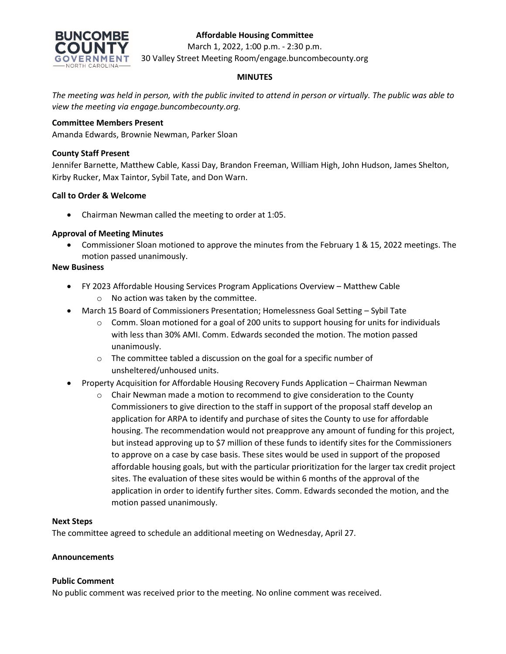

# **Affordable Housing Committee**

March 1, 2022, 1:00 p.m. - 2:30 p.m.

30 Valley Street Meeting Room/engage.buncombecounty.org

# **MINUTES**

*The meeting was held in person, with the public invited to attend in person or virtually. The public was able to view the meeting via engage.buncombecounty.org.*

## **Committee Members Present**

Amanda Edwards, Brownie Newman, Parker Sloan

## **County Staff Present**

Jennifer Barnette, Matthew Cable, Kassi Day, Brandon Freeman, William High, John Hudson, James Shelton, Kirby Rucker, Max Taintor, Sybil Tate, and Don Warn.

## **Call to Order & Welcome**

• Chairman Newman called the meeting to order at 1:05.

## **Approval of Meeting Minutes**

• Commissioner Sloan motioned to approve the minutes from the February 1 & 15, 2022 meetings. The motion passed unanimously.

## **New Business**

- FY 2023 Affordable Housing Services Program Applications Overview Matthew Cable o No action was taken by the committee.
- March 15 Board of Commissioners Presentation; Homelessness Goal Setting Sybil Tate
	- $\circ$  Comm. Sloan motioned for a goal of 200 units to support housing for units for individuals with less than 30% AMI. Comm. Edwards seconded the motion. The motion passed unanimously.
	- o The committee tabled a discussion on the goal for a specific number of unsheltered/unhoused units.
- Property Acquisition for Affordable Housing Recovery Funds Application Chairman Newman
	- $\circ$  Chair Newman made a motion to recommend to give consideration to the County Commissioners to give direction to the staff in support of the proposal staff develop an application for ARPA to identify and purchase of sites the County to use for affordable housing. The recommendation would not preapprove any amount of funding for this project, but instead approving up to \$7 million of these funds to identify sites for the Commissioners to approve on a case by case basis. These sites would be used in support of the proposed affordable housing goals, but with the particular prioritization for the larger tax credit project sites. The evaluation of these sites would be within 6 months of the approval of the application in order to identify further sites. Comm. Edwards seconded the motion, and the motion passed unanimously.

#### **Next Steps**

The committee agreed to schedule an additional meeting on Wednesday, April 27.

#### **Announcements**

#### **Public Comment**

No public comment was received prior to the meeting. No online comment was received.